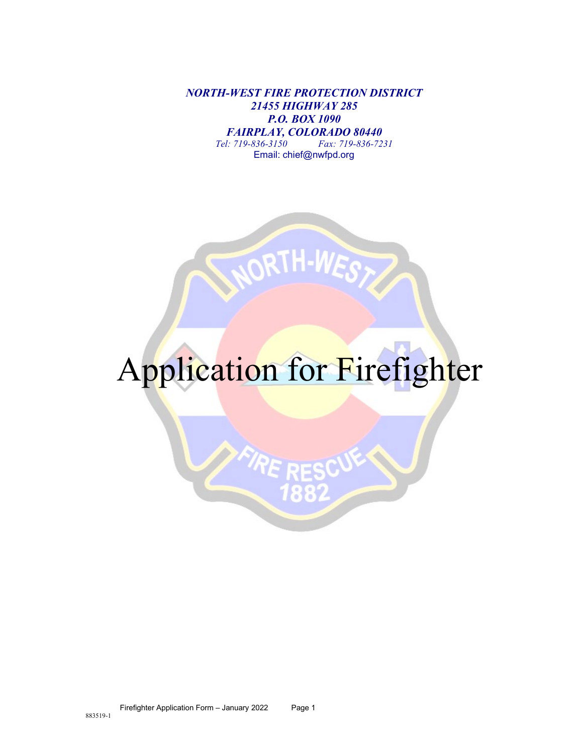*NORTH-WEST FIRE PROTECTION DISTRICT 21455 HIGHWAY 285 P.O. BOX 1090 FAIRPLAY, COLORADO 80440*<br>*Tel:* 719-836-3150<br>*Fax:* 719-836-72 *Tel: 719-836-3150 Fax: 719-836-7231* Email: chief@nwfpd.org



# Application for Firefighter

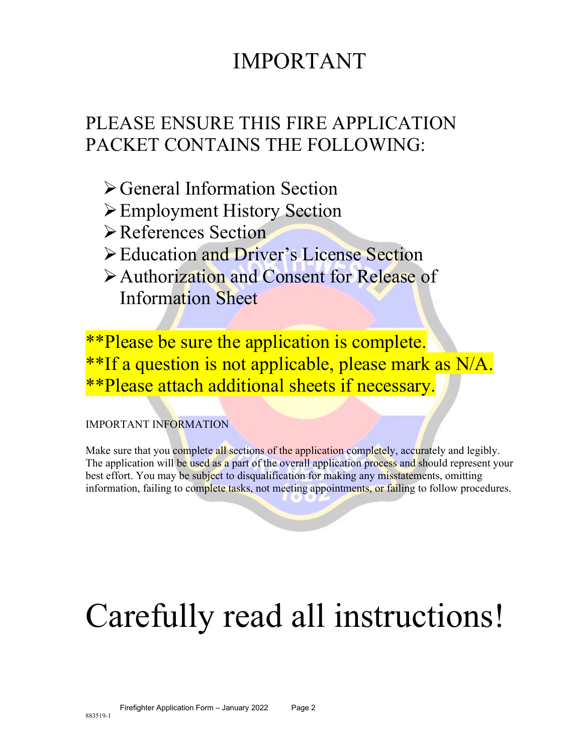## IMPORTANT

## PLEASE ENSURE THIS FIRE APPLICATION PACKET CONTAINS THE FOLLOWING:

- General Information Section
- Employment History Section
- References Section
- Education and Driver's License Section
- Authorization and Consent for Release of Information Sheet

\*\*Please be sure the application is complete. \*\*If a question is not applicable, please mark as N/A. \*\*Please attach additional sheets if necessary.

#### IMPORTANT INFORMATION

Make sure that you complete all sections of the application completely, accurately and legibly. The application will be used as a part of the overall application process and should represent your best effort. You may be subject to disqualification for making any misstatements, omitting information, failing to complete tasks, not meeting appointments, or failing to follow procedures.

# Carefully read all instructions!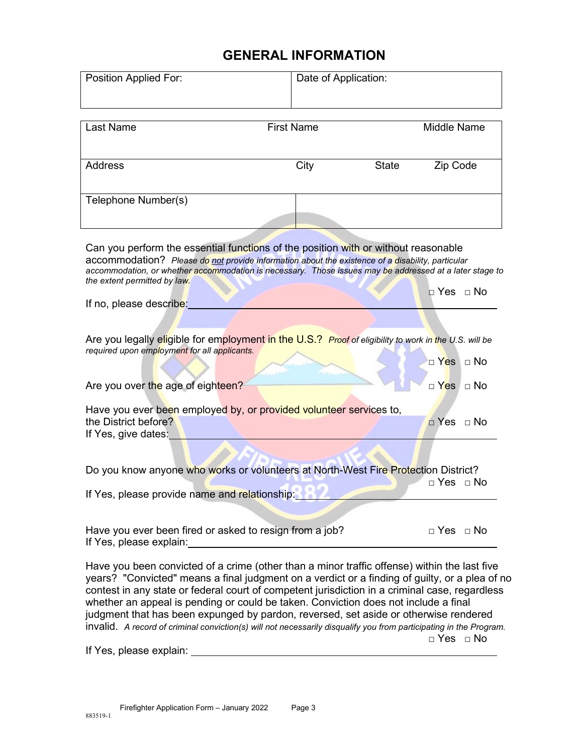### **GENERAL INFORMATION**

| Position Applied For:                                                                                                                                                                                                                                                                                                             | Date of Application: |       |                      |  |  |
|-----------------------------------------------------------------------------------------------------------------------------------------------------------------------------------------------------------------------------------------------------------------------------------------------------------------------------------|----------------------|-------|----------------------|--|--|
|                                                                                                                                                                                                                                                                                                                                   |                      |       |                      |  |  |
| <b>Last Name</b>                                                                                                                                                                                                                                                                                                                  | <b>First Name</b>    |       | <b>Middle Name</b>   |  |  |
|                                                                                                                                                                                                                                                                                                                                   |                      |       |                      |  |  |
| <b>Address</b>                                                                                                                                                                                                                                                                                                                    | City                 | State | Zip Code             |  |  |
| Telephone Number(s)                                                                                                                                                                                                                                                                                                               |                      |       |                      |  |  |
| Can you perform the essential functions of the position with or without reasonable<br>accommodation? Please do not provide information about the existence of a disability, particular<br>accommodation, or whether accommodation is necessary. Those issues may be addressed at a later stage to<br>the extent permitted by law. |                      |       | ⊓ Yes   ⊓ No         |  |  |
| If no, please describe:                                                                                                                                                                                                                                                                                                           |                      |       |                      |  |  |
| Are you legally eligible for employment in the U.S.? Proof of eligibility to work in the U.S. will be<br>required upon employment for all applicants.                                                                                                                                                                             |                      |       | $\Box$ Yes $\Box$ No |  |  |
| Are you over the age of eighteen?                                                                                                                                                                                                                                                                                                 |                      |       | $\Box$ Yes $\Box$ No |  |  |
| Have you ever been employed by, or provided volunteer services to,<br>the District before?<br>If Yes, give dates:                                                                                                                                                                                                                 |                      |       | $\Box$ Yes $\Box$ No |  |  |
|                                                                                                                                                                                                                                                                                                                                   |                      |       |                      |  |  |
| Do you know anyone who works or volunteers at North-West Fire Protection District?                                                                                                                                                                                                                                                |                      |       | $\Box$ Yes $\Box$ No |  |  |
| If Yes, please provide name and relationship: 1999                                                                                                                                                                                                                                                                                |                      |       |                      |  |  |
| Have you ever been fired or asked to resign from a job?<br>If Yes, please explain:                                                                                                                                                                                                                                                |                      |       | $\Box$ Yes $\Box$ No |  |  |

Have you been convicted of a crime (other than a minor traffic offense) within the last five years? "Convicted" means a final judgment on a verdict or a finding of guilty, or a plea of no contest in any state or federal court of competent jurisdiction in a criminal case, regardless whether an appeal is pending or could be taken. Conviction does not include a final judgment that has been expunged by pardon, reversed, set aside or otherwise rendered invalid. *A record of criminal conviction(s) will not necessarily disqualify you from participating in the Program.*  $\Box$  Yes  $\Box$  No

If Yes, please explain: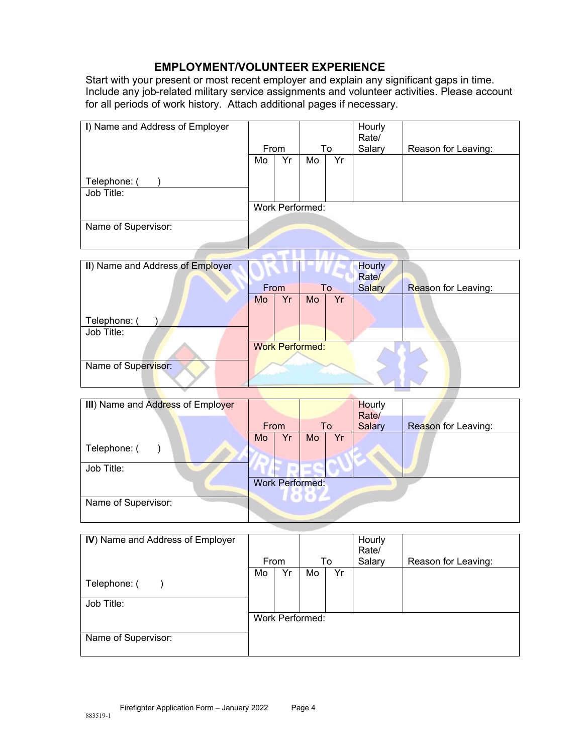#### **EMPLOYMENT/VOLUNTEER EXPERIENCE**

Start with your present or most recent employer and explain any significant gaps in time. Include any job-related military service assignments and volunteer activities. Please account for all periods of work history. Attach additional pages if necessary.

| I) Name and Address of Employer |    |      |                 |    | Hourly<br>Rate/ |                     |
|---------------------------------|----|------|-----------------|----|-----------------|---------------------|
|                                 |    | From |                 | To | Salary          | Reason for Leaving: |
|                                 | Mo | Yr   | Mo              | Yr |                 |                     |
|                                 |    |      |                 |    |                 |                     |
| Telephone: (                    |    |      |                 |    |                 |                     |
| Job Title:                      |    |      |                 |    |                 |                     |
|                                 |    |      | Work Performed: |    |                 |                     |
|                                 |    |      |                 |    |                 |                     |
| Name of Supervisor:             |    |      |                 |    |                 |                     |
|                                 |    |      |                 |    |                 |                     |
|                                 |    |      |                 |    |                 |                     |

| II) Name and Address of Employer |    |      |                        |    | <b>Hourly</b><br>Rate/ |                     |
|----------------------------------|----|------|------------------------|----|------------------------|---------------------|
|                                  |    | From |                        | To | Salary                 | Reason for Leaving: |
|                                  | Mo | Yr   | Mo                     | Yr |                        |                     |
|                                  |    |      |                        |    |                        |                     |
| Telephone: (                     |    |      |                        |    |                        |                     |
| Job Title:                       |    |      |                        |    |                        |                     |
|                                  |    |      | <b>Work Performed:</b> |    |                        |                     |
|                                  |    |      |                        |    |                        |                     |
| Name of Supervisor:              |    |      |                        |    |                        |                     |
|                                  |    |      |                        |    |                        |                     |
|                                  |    |      |                        |    |                        |                     |

| III) Name and Address of Employer |    |                        |                     |    | Hourly<br>Rate/ |                     |
|-----------------------------------|----|------------------------|---------------------|----|-----------------|---------------------|
|                                   |    | From                   |                     | To | Salary          | Reason for Leaving: |
|                                   | Mo | Yr                     | Mo                  | Yr |                 |                     |
| Telephone: (                      |    |                        |                     |    |                 |                     |
| Job Title:                        |    |                        |                     |    |                 |                     |
|                                   |    | <b>Work Performed:</b> |                     |    |                 |                     |
| Name of Supervisor:               |    |                        | <b><i>Level</i></b> |    |                 |                     |

| IV) Name and Address of Employer |    | From |                        | To | Hourly<br>Rate/<br>Salary | Reason for Leaving: |
|----------------------------------|----|------|------------------------|----|---------------------------|---------------------|
| Telephone: (<br>Job Title:       | Mo | Yr   | Mo                     | Yr |                           |                     |
| Name of Supervisor:              |    |      | <b>Work Performed:</b> |    |                           |                     |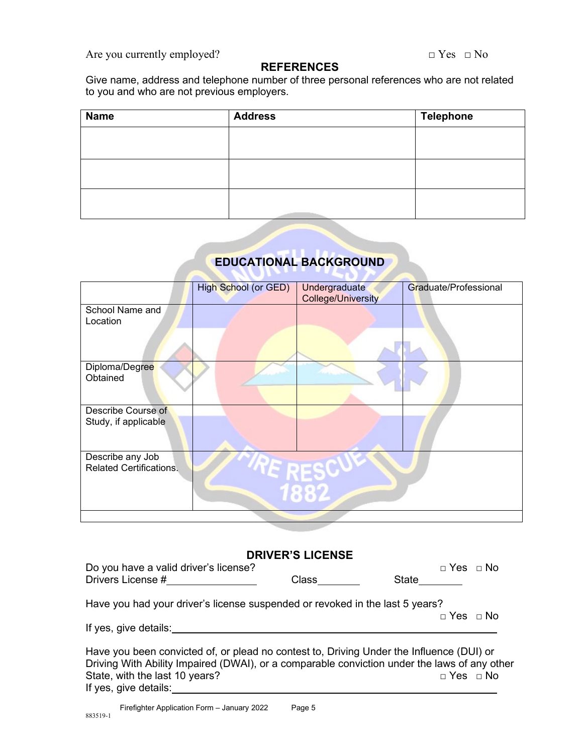Are you currently employed?  $\Box$  Yes  $\Box$  No

#### **REFERENCES**

Give name, address and telephone number of three personal references who are not related to you and who are not previous employers.

| <b>Name</b> | <b>Address</b> | <b>Telephone</b> |
|-------------|----------------|------------------|
|             |                |                  |
|             |                |                  |
|             |                |                  |
|             |                |                  |
|             |                |                  |
|             |                |                  |

### **EDUCATIONAL BACKGROUND**

|                                                    | <b>High School (or GED)</b> | Undergraduate             | Graduate/Professional |
|----------------------------------------------------|-----------------------------|---------------------------|-----------------------|
|                                                    |                             | <b>College/University</b> |                       |
| School Name and                                    |                             |                           |                       |
| Location                                           |                             |                           |                       |
|                                                    |                             |                           |                       |
| Diploma/Degree                                     |                             |                           |                       |
| Obtained                                           |                             |                           |                       |
| Describe Course of                                 |                             |                           |                       |
| Study, if applicable                               |                             |                           |                       |
| Describe any Job<br><b>Related Certifications.</b> |                             |                           |                       |
|                                                    |                             | <b>Fate</b>               |                       |
|                                                    |                             |                           |                       |

#### **DRIVER'S LICENSE**

| Do you have a valid driver's license?<br>Drivers License #                               | $\mathsf{Class}\_\_$ | State | $\Box$ Yes $\Box$ No |                      |
|------------------------------------------------------------------------------------------|----------------------|-------|----------------------|----------------------|
| Have you had your driver's license suspended or revoked in the last 5 years?             |                      |       |                      | $\Box$ Yes $\Box$ No |
| If yes, give details:                                                                    |                      |       |                      |                      |
| Have you been convicted of, or plead no contest to, Driving Under the Influence (DUI) or |                      |       |                      |                      |

Driving With Ability Impaired (DWAI), or a comparable conviction under the laws of any other State, with the last 10 years? State, with the last 10 years? If yes, give details: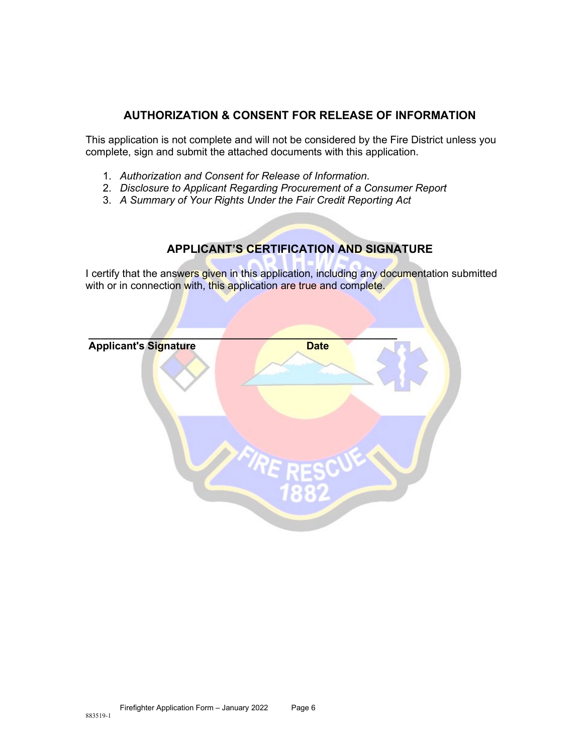#### **AUTHORIZATION & CONSENT FOR RELEASE OF INFORMATION**

This application is not complete and will not be considered by the Fire District unless you complete, sign and submit the attached documents with this application.

- 1. *Authorization and Consent for Release of Information*.
- 2. *Disclosure to Applicant Regarding Procurement of a Consumer Report*
- 3. *A Summary of Your Rights Under the Fair Credit Reporting Act*

#### **APPLICANT'S CERTIFICATION AND SIGNATURE**

I certify that the answers given in this application, including any documentation submitted with or in connection with, this application are true and complete.

| <b>Applicant's Signature</b> | <b>Date</b> |
|------------------------------|-------------|
|                              |             |
|                              | Б<br>882    |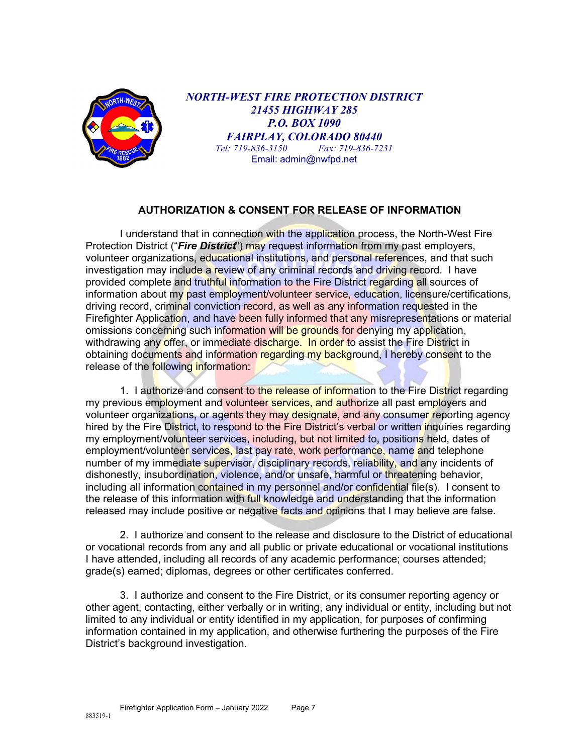

*NORTH-WEST FIRE PROTECTION DISTRICT 21455 HIGHWAY 285 P.O. BOX 1090 FAIRPLAY, COLORADO 80440*<br>1: 719-836-3150 **Fax: 719-836-7231** *Tel: 719-836-3150 Fax: 719-836-7231* Email: admin@nwfpd.net

#### **AUTHORIZATION & CONSENT FOR RELEASE OF INFORMATION**

I understand that in connection with the application process, the North-West Fire Protection District ("*Fire District*") may request information from my past employers, volunteer organizations, educational institutions, and personal references, and that such investigation may include a review of any criminal records and driving record. I have provided complete and truthful information to the Fire District regarding all sources of information about my past employment/volunteer service, education, licensure/certifications, driving record, criminal conviction record, as well as any information requested in the Firefighter Application, and have been fully informed that any misrepresentations or material omissions concerning such information will be grounds for denying my application, withdrawing any offer, or immediate discharge. In order to assist the Fire District in obtaining documents and information regarding my background, I hereby consent to the release of the following information:

1. I authorize and consent to the release of information to the Fire District regarding my previous employment and volunteer services, and authorize all past employers and volunteer organizations, or agents they may designate, and any consumer reporting agency hired by the Fire District, to respond to the Fire District's verbal or written inquiries regarding my employment/volunteer services, including, but not limited to, positions held, dates of employment/volunteer services, last pay rate, work performance, name and telephone number of my immediate supervisor, disciplinary records, reliability, and any incidents of dishonestly, insubordination, violence, and/or unsafe, harmful or threatening behavior, including all information contained in my personnel and/or confidential file(s). I consent to the release of this information with full knowledge and understanding that the information released may include positive or negative facts and opinions that I may believe are false.

2. I authorize and consent to the release and disclosure to the District of educational or vocational records from any and all public or private educational or vocational institutions I have attended, including all records of any academic performance; courses attended; grade(s) earned; diplomas, degrees or other certificates conferred.

3. I authorize and consent to the Fire District, or its consumer reporting agency or other agent, contacting, either verbally or in writing, any individual or entity, including but not limited to any individual or entity identified in my application, for purposes of confirming information contained in my application, and otherwise furthering the purposes of the Fire District's background investigation.